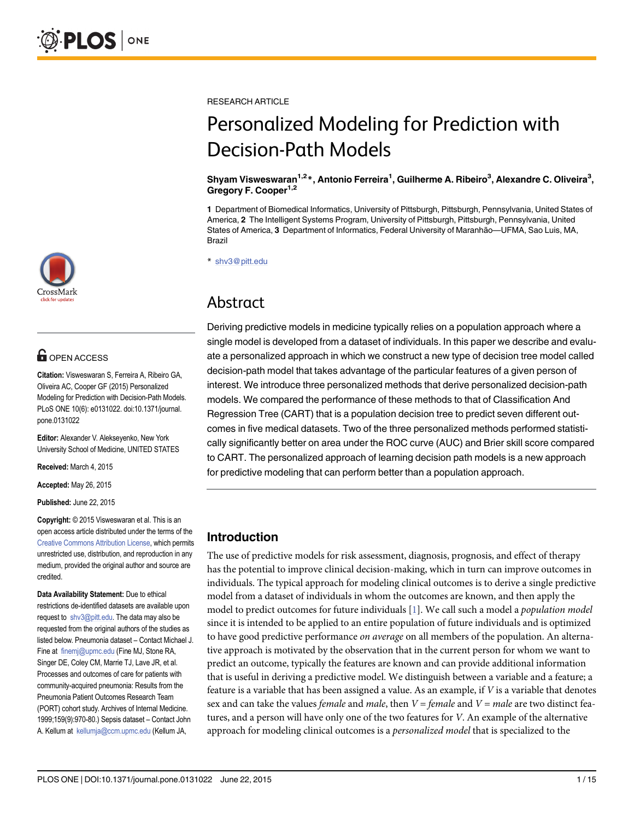

# **G** OPEN ACCESS

Citation: Visweswaran S, Ferreira A, Ribeiro GA, Oliveira AC, Cooper GF (2015) Personalized Modeling for Prediction with Decision-Path Models. PLoS ONE 10(6): e0131022. doi:10.1371/journal. pone.0131022

Editor: Alexander V. Alekseyenko, New York University School of Medicine, UNITED STATES

Received: March 4, 2015

Accepted: May 26, 2015

Published: June 22, 2015

Copyright: © 2015 Visweswaran et al. This is an open access article distributed under the terms of the [Creative Commons Attribution License,](http://creativecommons.org/licenses/by/4.0/) which permits unrestricted use, distribution, and reproduction in any medium, provided the original author and source are credited.

Data Availability Statement: Due to ethical restrictions de-identified datasets are available upon request to shv3@pitt.edu. The data may also be requested from the original authors of the studies as listed below. Pneumonia dataset – Contact Michael J. Fine at finemj@upmc.edu (Fine MJ, Stone RA, Singer DE, Coley CM, Marrie TJ, Lave JR, et al. Processes and outcomes of care for patients with community-acquired pneumonia: Results from the Pneumonia Patient Outcomes Research Team (PORT) cohort study. Archives of Internal Medicine. 1999;159(9):970-80.) Sepsis dataset – Contact John A. Kellum at kellumja@ccm.upmc.edu (Kellum JA,

<span id="page-0-0"></span>RESEARCH ARTICLE

# Personalized Modeling for Prediction with Decision-Path Models

#### Shyam Visweswaran<sup>1,2</sup>\*, Antonio Ferreira<sup>1</sup>, Guilherme A. Ribeiro<sup>3</sup>, Alexandre C. Oliveira<sup>3</sup>, Gregory F. Cooper<sup>1,2</sup>

1 Department of Biomedical Informatics, University of Pittsburgh, Pittsburgh, Pennsylvania, United States of America, 2 The Intelligent Systems Program, University of Pittsburgh, Pittsburgh, Pennsylvania, United States of America, 3 Department of Informatics, Federal University of Maranhão—UFMA, Sao Luis, MA, Brazil

\* shv3@pitt.edu

# Abstract

Deriving predictive models in medicine typically relies on a population approach where a single model is developed from a dataset of individuals. In this paper we describe and evaluate a personalized approach in which we construct a new type of decision tree model called decision-path model that takes advantage of the particular features of a given person of interest. We introduce three personalized methods that derive personalized decision-path models. We compared the performance of these methods to that of Classification And Regression Tree (CART) that is a population decision tree to predict seven different outcomes in five medical datasets. Two of the three personalized methods performed statistically significantly better on area under the ROC curve (AUC) and Brier skill score compared to CART. The personalized approach of learning decision path models is a new approach for predictive modeling that can perform better than a population approach.

# Introduction

The use of predictive models for risk assessment, diagnosis, prognosis, and effect of therapy has the potential to improve clinical decision-making, which in turn can improve outcomes in individuals. The typical approach for modeling clinical outcomes is to derive a single predictive model from a dataset of individuals in whom the outcomes are known, and then apply the model to predict outcomes for future individuals  $[1]$ . We call such a model a *population model* since it is intended to be applied to an entire population of future individuals and is optimized to have good predictive performance on average on all members of the population. An alternative approach is motivated by the observation that in the current person for whom we want to predict an outcome, typically the features are known and can provide additional information that is useful in deriving a predictive model. We distinguish between a variable and a feature; a feature is a variable that has been assigned a value. As an example, if V is a variable that denotes sex and can take the values *female* and *male*, then  $V =$  *female* and  $V =$  *male* are two distinct features, and a person will have only one of the two features for V. An example of the alternative approach for modeling clinical outcomes is a *personalized model* that is specialized to the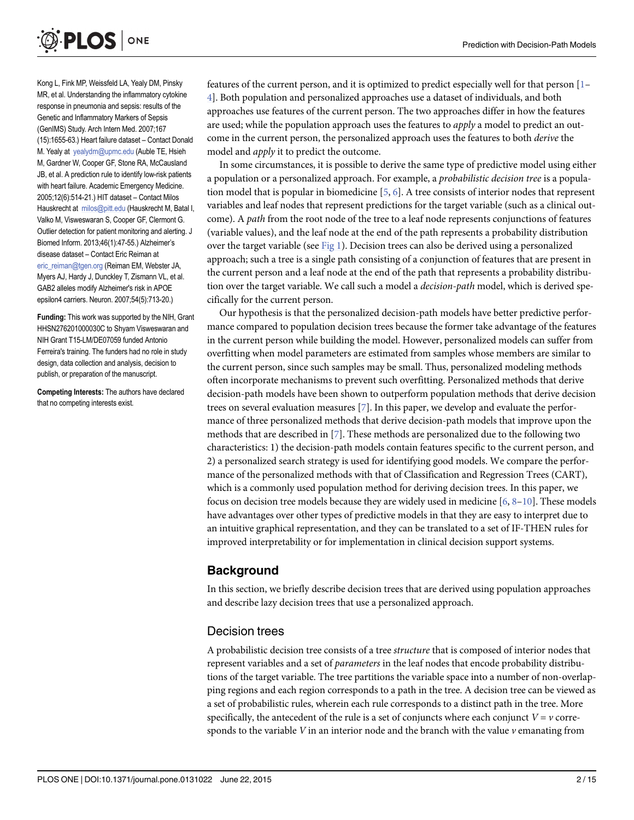<span id="page-1-0"></span>

Kong L, Fink MP, Weissfeld LA, Yealy DM, Pinsky MR, et al. Understanding the inflammatory cytokine response in pneumonia and sepsis: results of the Genetic and Inflammatory Markers of Sepsis (GenIMS) Study. Arch Intern Med. 2007;167 (15):1655-63.) Heart failure dataset – Contact Donald M. Yealy at yealydm@upmc.edu (Auble TE, Hsieh M, Gardner W, Cooper GF, Stone RA, McCausland JB, et al. A prediction rule to identify low-risk patients with heart failure. Academic Emergency Medicine. 2005;12(6):514-21.) HIT dataset – Contact Milos Hauskrecht at milos@pitt.edu (Hauskrecht M, Batal I, Valko M, Visweswaran S, Cooper GF, Clermont G. Outlier detection for patient monitoring and alerting. J Biomed Inform. 2013;46(1):47-55.) Alzheimer's disease dataset – Contact Eric Reiman at eric\_reiman@tgen.org (Reiman EM, Webster JA, Myers AJ, Hardy J, Dunckley T, Zismann VL, et al. GAB2 alleles modify Alzheimer's risk in APOE epsilon4 carriers. Neuron. 2007;54(5):713-20.)

Funding: This work was supported by the NIH, Grant HHSN276201000030C to Shyam Visweswaran and NIH Grant T15-LM/DE07059 funded Antonio Ferreira's training. The funders had no role in study design, data collection and analysis, decision to publish, or preparation of the manuscript.

Competing Interests: The authors have declared that no competing interests exist.

features of the current person, and it is optimized to predict especially well for that person [\[1](#page-13-0)– [4\]](#page-13-0). Both population and personalized approaches use a dataset of individuals, and both approaches use features of the current person. The two approaches differ in how the features are used; while the population approach uses the features to apply a model to predict an outcome in the current person, the personalized approach uses the features to both derive the model and apply it to predict the outcome.

In some circumstances, it is possible to derive the same type of predictive model using either a population or a personalized approach. For example, a probabilistic decision tree is a population model that is popular in biomedicine  $[5, 6]$  $[5, 6]$  $[5, 6]$  $[5, 6]$ . A tree consists of interior nodes that represent variables and leaf nodes that represent predictions for the target variable (such as a clinical outcome). A path from the root node of the tree to a leaf node represents conjunctions of features (variable values), and the leaf node at the end of the path represents a probability distribution over the target variable (see [Fig 1\)](#page-2-0). Decision trees can also be derived using a personalized approach; such a tree is a single path consisting of a conjunction of features that are present in the current person and a leaf node at the end of the path that represents a probability distribution over the target variable. We call such a model a *decision-path* model, which is derived specifically for the current person.

Our hypothesis is that the personalized decision-path models have better predictive performance compared to population decision trees because the former take advantage of the features in the current person while building the model. However, personalized models can suffer from overfitting when model parameters are estimated from samples whose members are similar to the current person, since such samples may be small. Thus, personalized modeling methods often incorporate mechanisms to prevent such overfitting. Personalized methods that derive decision-path models have been shown to outperform population methods that derive decision trees on several evaluation measures [[7\]](#page-14-0). In this paper, we develop and evaluate the performance of three personalized methods that derive decision-path models that improve upon the methods that are described in [[7\]](#page-14-0). These methods are personalized due to the following two characteristics: 1) the decision-path models contain features specific to the current person, and 2) a personalized search strategy is used for identifying good models. We compare the performance of the personalized methods with that of Classification and Regression Trees (CART), which is a commonly used population method for deriving decision trees. In this paper, we focus on decision tree models because they are widely used in medicine  $[6, 8-10]$  $[6, 8-10]$  $[6, 8-10]$  $[6, 8-10]$  $[6, 8-10]$  $[6, 8-10]$ . These models have advantages over other types of predictive models in that they are easy to interpret due to an intuitive graphical representation, and they can be translated to a set of IF-THEN rules for improved interpretability or for implementation in clinical decision support systems.

# **Background**

In this section, we briefly describe decision trees that are derived using population approaches and describe lazy decision trees that use a personalized approach.

# Decision trees

A probabilistic decision tree consists of a tree structure that is composed of interior nodes that represent variables and a set of parameters in the leaf nodes that encode probability distributions of the target variable. The tree partitions the variable space into a number of non-overlapping regions and each region corresponds to a path in the tree. A decision tree can be viewed as a set of probabilistic rules, wherein each rule corresponds to a distinct path in the tree. More specifically, the antecedent of the rule is a set of conjuncts where each conjunct  $V = v$  corresponds to the variable V in an interior node and the branch with the value  $\nu$  emanating from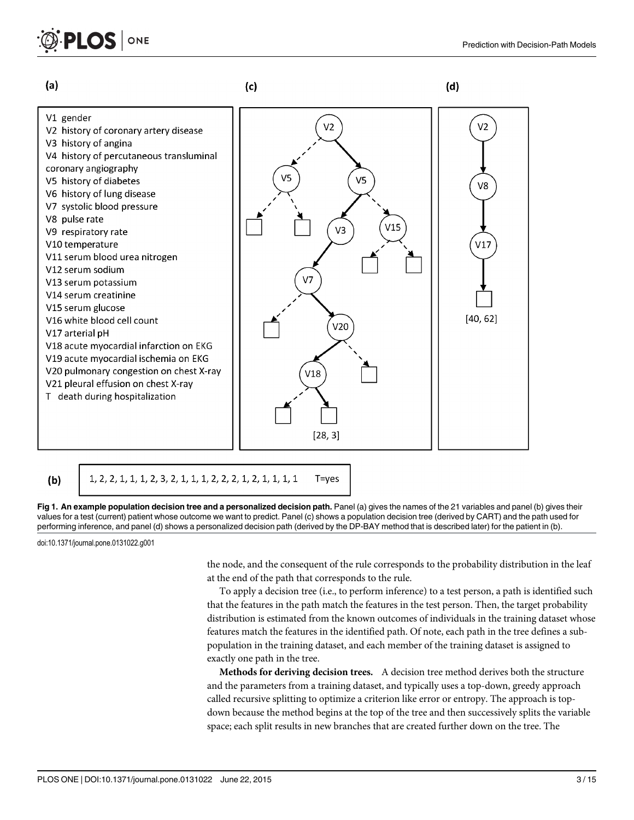# <span id="page-2-0"></span>PLOS ONE



#### $(b)$

1, 2, 2, 1, 1, 1, 2, 3, 2, 1, 1, 1, 2, 2, 2, 1, 2, 1, 1, 1, 1  $T = yes$ 

[Fig 1. A](#page-1-0)n example population decision tree and a personalized decision path. Panel (a) gives the names of the 21 variables and panel (b) gives their values for a test (current) patient whose outcome we want to predict. Panel (c) shows a population decision tree (derived by CART) and the path used for performing inference, and panel (d) shows a personalized decision path (derived by the DP-BAY method that is described later) for the patient in (b).

doi:10.1371/journal.pone.0131022.g001

the node, and the consequent of the rule corresponds to the probability distribution in the leaf at the end of the path that corresponds to the rule.

To apply a decision tree (i.e., to perform inference) to a test person, a path is identified such that the features in the path match the features in the test person. Then, the target probability distribution is estimated from the known outcomes of individuals in the training dataset whose features match the features in the identified path. Of note, each path in the tree defines a subpopulation in the training dataset, and each member of the training dataset is assigned to exactly one path in the tree.

Methods for deriving decision trees. A decision tree method derives both the structure and the parameters from a training dataset, and typically uses a top-down, greedy approach called recursive splitting to optimize a criterion like error or entropy. The approach is topdown because the method begins at the top of the tree and then successively splits the variable space; each split results in new branches that are created further down on the tree. The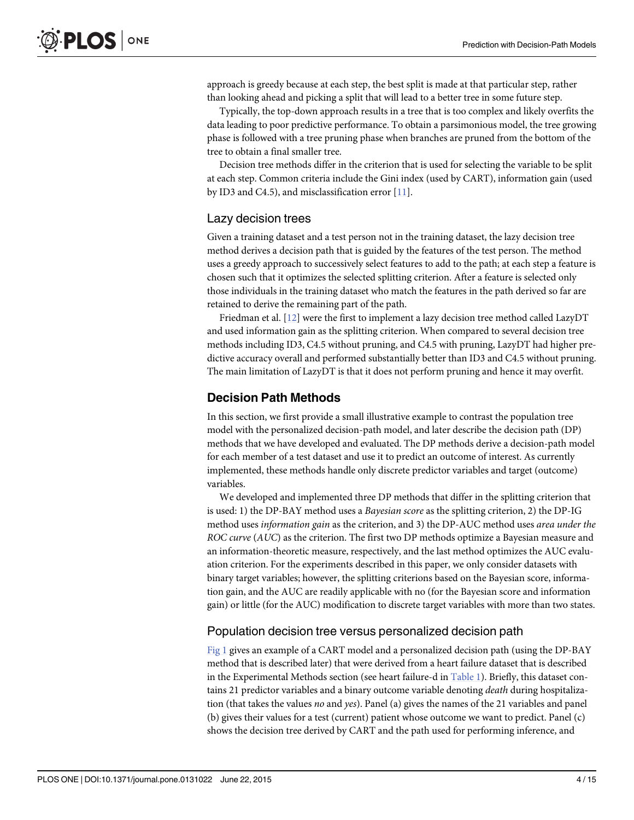<span id="page-3-0"></span>approach is greedy because at each step, the best split is made at that particular step, rather than looking ahead and picking a split that will lead to a better tree in some future step.

Typically, the top-down approach results in a tree that is too complex and likely overfits the data leading to poor predictive performance. To obtain a parsimonious model, the tree growing phase is followed with a tree pruning phase when branches are pruned from the bottom of the tree to obtain a final smaller tree.

Decision tree methods differ in the criterion that is used for selecting the variable to be split at each step. Common criteria include the Gini index (used by CART), information gain (used by ID3 and C4.5), and misclassification error  $[11]$  $[11]$ .

### Lazy decision trees

Given a training dataset and a test person not in the training dataset, the lazy decision tree method derives a decision path that is guided by the features of the test person. The method uses a greedy approach to successively select features to add to the path; at each step a feature is chosen such that it optimizes the selected splitting criterion. After a feature is selected only those individuals in the training dataset who match the features in the path derived so far are retained to derive the remaining part of the path.

Friedman et al.  $[12]$  were the first to implement a lazy decision tree method called LazyDT and used information gain as the splitting criterion. When compared to several decision tree methods including ID3, C4.5 without pruning, and C4.5 with pruning, LazyDT had higher predictive accuracy overall and performed substantially better than ID3 and C4.5 without pruning. The main limitation of LazyDT is that it does not perform pruning and hence it may overfit.

# Decision Path Methods

In this section, we first provide a small illustrative example to contrast the population tree model with the personalized decision-path model, and later describe the decision path (DP) methods that we have developed and evaluated. The DP methods derive a decision-path model for each member of a test dataset and use it to predict an outcome of interest. As currently implemented, these methods handle only discrete predictor variables and target (outcome) variables.

We developed and implemented three DP methods that differ in the splitting criterion that is used: 1) the DP-BAY method uses a Bayesian score as the splitting criterion, 2) the DP-IG method uses information gain as the criterion, and 3) the DP-AUC method uses area under the ROC curve (AUC) as the criterion. The first two DP methods optimize a Bayesian measure and an information-theoretic measure, respectively, and the last method optimizes the AUC evaluation criterion. For the experiments described in this paper, we only consider datasets with binary target variables; however, the splitting criterions based on the Bayesian score, information gain, and the AUC are readily applicable with no (for the Bayesian score and information gain) or little (for the AUC) modification to discrete target variables with more than two states.

#### Population decision tree versus personalized decision path

[Fig 1](#page-2-0) gives an example of a CART model and a personalized decision path (using the DP-BAY method that is described later) that were derived from a heart failure dataset that is described in the Experimental Methods section (see heart failure-d in [Table 1\)](#page-4-0). Briefly, this dataset contains 21 predictor variables and a binary outcome variable denoting *death* during hospitalization (that takes the values no and yes). Panel (a) gives the names of the 21 variables and panel (b) gives their values for a test (current) patient whose outcome we want to predict. Panel (c) shows the decision tree derived by CART and the path used for performing inference, and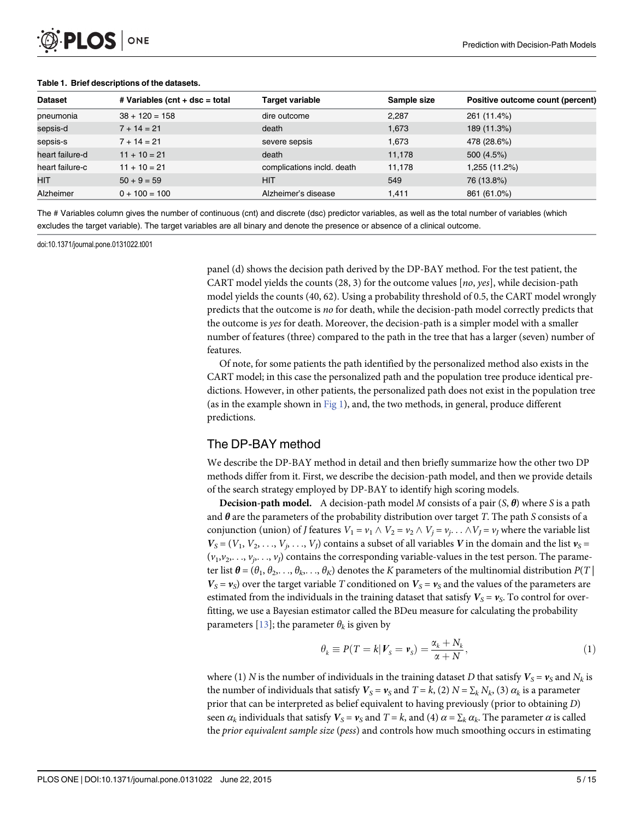#### <span id="page-4-0"></span>[Table 1.](#page-3-0) Brief descriptions of the datasets.

| <b>Dataset</b>  | # Variables (cnt + dsc = total | <b>Target variable</b>     | Sample size | Positive outcome count (percent) |
|-----------------|--------------------------------|----------------------------|-------------|----------------------------------|
| pneumonia       | $38 + 120 = 158$               | dire outcome               | 2.287       | 261 (11.4%)                      |
| sepsis-d        | $7 + 14 = 21$                  | death                      | 1.673       | 189 (11.3%)                      |
| sepsis-s        | $7 + 14 = 21$                  | severe sepsis              | 1,673       | 478 (28.6%)                      |
| heart failure-d | $11 + 10 = 21$                 | death                      | 11,178      | 500 (4.5%)                       |
| heart failure-c | $11 + 10 = 21$                 | complications incld. death | 11.178      | 1,255 (11.2%)                    |
| <b>HIT</b>      | $50 + 9 = 59$                  | HIT                        | 549         | 76 (13.8%)                       |
| Alzheimer       | $0 + 100 = 100$                | Alzheimer's disease        | 1,411       | 861 (61.0%)                      |

The # Variables column gives the number of continuous (cnt) and discrete (dsc) predictor variables, as well as the total number of variables (which excludes the target variable). The target variables are all binary and denote the presence or absence of a clinical outcome.

doi:10.1371/journal.pone.0131022.t001

panel (d) shows the decision path derived by the DP-BAY method. For the test patient, the CART model yields the counts  $(28, 3)$  for the outcome values [no, yes], while decision-path model yields the counts (40, 62). Using a probability threshold of 0.5, the CART model wrongly predicts that the outcome is no for death, while the decision-path model correctly predicts that the outcome is yes for death. Moreover, the decision-path is a simpler model with a smaller number of features (three) compared to the path in the tree that has a larger (seven) number of features.

Of note, for some patients the path identified by the personalized method also exists in the CART model; in this case the personalized path and the population tree produce identical predictions. However, in other patients, the personalized path does not exist in the population tree (as in the example shown in  $Fig 1$ ), and, the two methods, in general, produce different predictions.

# The DP-BAY method

We describe the DP-BAY method in detail and then briefly summarize how the other two DP methods differ from it. First, we describe the decision-path model, and then we provide details of the search strategy employed by DP-BAY to identify high scoring models.

**Decision-path model.** A decision-path model M consists of a pair  $(S, \theta)$  where S is a path and  $\theta$  are the parameters of the probability distribution over target T. The path S consists of a conjunction (union) of *J* features  $V_1 = v_1 \wedge V_2 = v_2 \wedge V_j = v_j \dots \wedge V_J = v_J$  where the variable list  $V_S = (V_1, V_2, \ldots, V_j, \ldots, V_J)$  contains a subset of all variables V in the domain and the list  $v_S$  $(v_1,v_2,...,v_j,...,v_J)$  contains the corresponding variable-values in the test person. The parameter list  $\theta = (\theta_1, \theta_2, \ldots, \theta_k, \ldots, \theta_K)$  denotes the K parameters of the multinomial distribution  $P(T |$  $V_S = v_S$ ) over the target variable T conditioned on  $V_S = v_S$  and the values of the parameters are estimated from the individuals in the training dataset that satisfy  $V_s = v_s$ . To control for overfitting, we use a Bayesian estimator called the BDeu measure for calculating the probability parameters [\[13\]](#page-14-0); the parameter  $\theta_k$  is given by

$$
\theta_k \equiv P(T = k | V_s = v_s) = \frac{\alpha_k + N_k}{\alpha + N}, \qquad (1)
$$

where (1) N is the number of individuals in the training dataset D that satisfy  $V_s = v_s$  and  $N_k$  is the number of individuals that satisfy  $V_S = v_S$  and  $T = k$ , (2)  $N = \sum_k N_k$ , (3)  $\alpha_k$  is a parameter prior that can be interpreted as belief equivalent to having previously (prior to obtaining D) seen  $\alpha_k$  individuals that satisfy  $V_s = v_s$  and  $T = k$ , and (4)  $\alpha = \sum_k \alpha_k$ . The parameter  $\alpha$  is called the prior equivalent sample size (pess) and controls how much smoothing occurs in estimating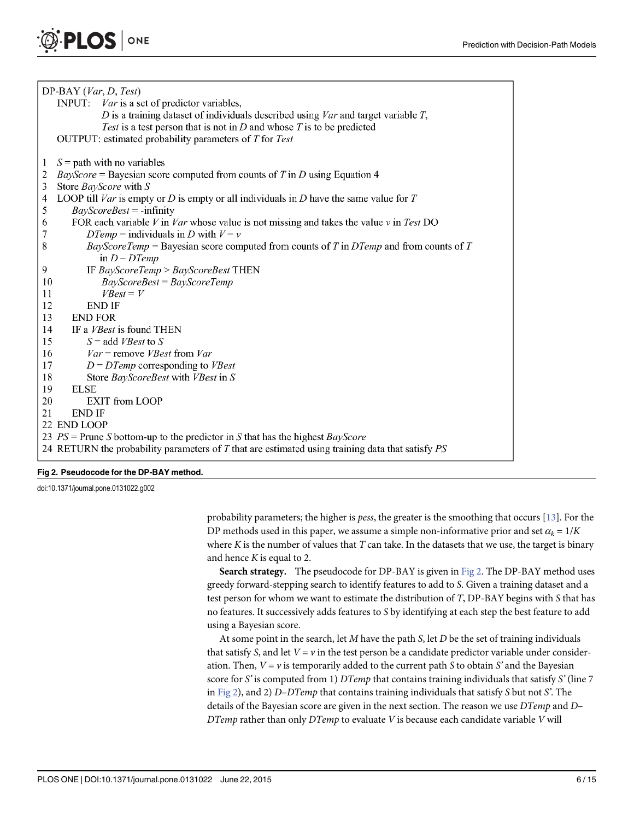<span id="page-5-0"></span>

|    | $DP-BAY$ (Var, D, Test)                                                                                            |
|----|--------------------------------------------------------------------------------------------------------------------|
|    | INPUT:<br>Var is a set of predictor variables,                                                                     |
|    | $D$ is a training dataset of individuals described using $Var$ and target variable $T$ ,                           |
|    | Test is a test person that is not in $D$ and whose $T$ is to be predicted                                          |
|    | OUTPUT: estimated probability parameters of $T$ for Test                                                           |
|    |                                                                                                                    |
| 1  | $S =$ path with no variables                                                                                       |
| 2  | $BayScore = Bayesian score$ computed from counts of T in D using Equation 4                                        |
| 3  | Store BayScore with S                                                                                              |
| 4  | LOOP till <i>Var</i> is empty or <i>D</i> is empty or all individuals in <i>D</i> have the same value for <i>T</i> |
| 5  | $BayScoreBest = -infinity$                                                                                         |
| 6  | FOR each variable $V$ in $Var$ whose value is not missing and takes the value $v$ in Test DO                       |
| 7  | <i>DTemp</i> = individuals in <i>D</i> with $V = v$                                                                |
| 8  | <i>BayScoreTemp</i> = Bayesian score computed from counts of T in DTemp and from counts of T                       |
|    | in $D$ – $DTemp$                                                                                                   |
| 9  | IF BayScoreTemp > BayScoreBest THEN                                                                                |
|    | 10<br>BayScoreBest = BayScoreTemp                                                                                  |
| 11 | $V$ <i>Rest</i> = $V$                                                                                              |
|    | <b>END IF</b><br>12                                                                                                |
| 13 | <b>END FOR</b>                                                                                                     |
|    | IF a <i>VBest</i> is found THEN<br>14                                                                              |
|    | 15<br>$S =$ add <i>VBest</i> to S                                                                                  |
|    | $Var$ = remove <i>VBest</i> from <i>Var</i><br>16                                                                  |
| 17 | $D = DTemp$ corresponding to <i>VBest</i>                                                                          |
| 18 | Store BayScoreBest with VBest in S                                                                                 |
|    | 19<br><b>ELSE</b>                                                                                                  |
|    | <b>EXIT from LOOP</b><br>20                                                                                        |
| 21 | <b>END IF</b>                                                                                                      |
|    | 22 END LOOP                                                                                                        |
|    | 23 $PS$ = Prune S bottom-up to the predictor in S that has the highest BayScore                                    |
|    | 24 RETURN the probability parameters of $T$ that are estimated using training data that satisfy $PS$               |
|    |                                                                                                                    |

#### Fig 2. Pseudocode for the DP-BAY method.

doi:10.1371/journal.pone.0131022.g002

probability parameters; the higher is pess, the greater is the smoothing that occurs [[13](#page-14-0)]. For the DP methods used in this paper, we assume a simple non-informative prior and set  $\alpha_k = 1/K$ where K is the number of values that  $T$  can take. In the datasets that we use, the target is binary and hence  $K$  is equal to 2.

Search strategy. The pseudocode for DP-BAY is given in Fig 2. The DP-BAY method uses greedy forward-stepping search to identify features to add to S. Given a training dataset and a test person for whom we want to estimate the distribution of T, DP-BAY begins with S that has no features. It successively adds features to S by identifying at each step the best feature to add using a Bayesian score.

At some point in the search, let M have the path S, let  $D$  be the set of training individuals that satisfy S, and let  $V = v$  in the test person be a candidate predictor variable under consideration. Then,  $V = v$  is temporarily added to the current path S to obtain S' and the Bayesian score for S' is computed from 1) DTemp that contains training individuals that satisfy S' (line 7) in Fig 2), and 2) D–DTemp that contains training individuals that satisfy S but not S'. The details of the Bayesian score are given in the next section. The reason we use DTemp and D-DTemp rather than only DTemp to evaluate V is because each candidate variable V will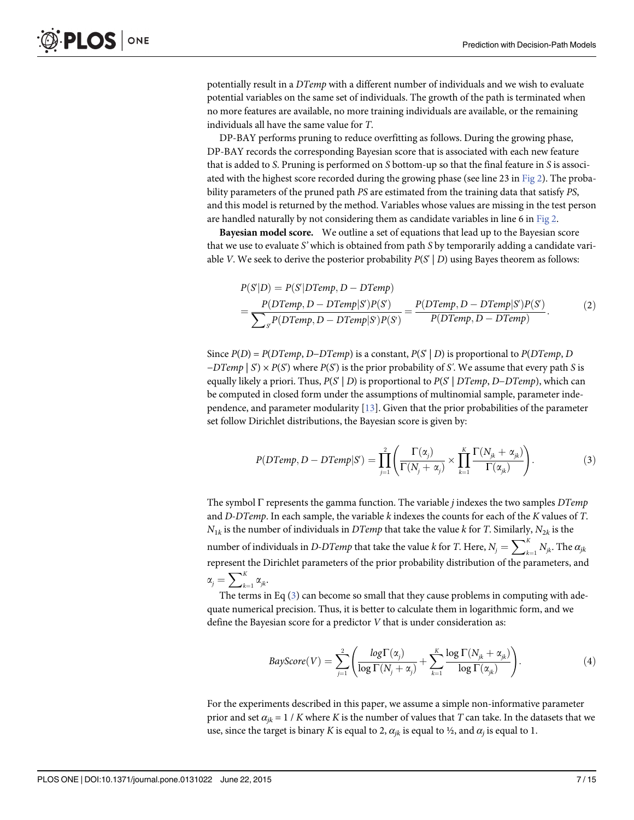<span id="page-6-0"></span>potentially result in a DTemp with a different number of individuals and we wish to evaluate potential variables on the same set of individuals. The growth of the path is terminated when no more features are available, no more training individuals are available, or the remaining individuals all have the same value for T.

DP-BAY performs pruning to reduce overfitting as follows. During the growing phase, DP-BAY records the corresponding Bayesian score that is associated with each new feature that is added to S. Pruning is performed on S bottom-up so that the final feature in S is associated with the highest score recorded during the growing phase (see line 23 in Fig  $2$ ). The probability parameters of the pruned path PS are estimated from the training data that satisfy PS, and this model is returned by the method. Variables whose values are missing in the test person are handled naturally by not considering them as candidate variables in line 6 in [Fig 2.](#page-5-0)

Bayesian model score. We outline a set of equations that lead up to the Bayesian score that we use to evaluate S' which is obtained from path S by temporarily adding a candidate variable V. We seek to derive the posterior probability  $P(S | D)$  using Bayes theorem as follows:

$$
P(S'|D) = P(S'|DTemp, D - DTemp)
$$
  
= 
$$
\frac{P(DTemp, D - DTemp|S)P(S')}{\sum_{S} P(DTemp, D - DTemp|S)P(S')} = \frac{P(DTemp, D - DTemp|S)P(S')}{P(DTemp, D - DTemp)}.
$$
 (2)

Since  $P(D) = P(DTemp, D-DTemp)$  is a constant,  $P(S | D)$  is proportional to  $P(DTemp, D)$  $-DTemp \mid S' \rangle \times P(S')$  where  $P(S')$  is the prior probability of S'. We assume that every path S is equally likely a priori. Thus,  $P(S | D)$  is proportional to  $P(S | DTemp, D-DTemp)$ , which can be computed in closed form under the assumptions of multinomial sample, parameter independence, and parameter modularity [\[13](#page-14-0)]. Given that the prior probabilities of the parameter set follow Dirichlet distributions, the Bayesian score is given by:

$$
P(DTemp, D - DTemp|S') = \prod_{j=1}^{2} \left( \frac{\Gamma(\alpha_j)}{\Gamma(N_j + \alpha_j)} \times \prod_{k=1}^{K} \frac{\Gamma(N_{jk} + \alpha_{jk})}{\Gamma(\alpha_{jk})} \right).
$$
 (3)

The symbol  $\Gamma$  represents the gamma function. The variable *j* indexes the two samples *DTemp* and D-DTemp. In each sample, the variable k indexes the counts for each of the K values of T.  $N_{1k}$  is the number of individuals in DTemp that take the value k for T. Similarly,  $N_{2k}$  is the number of individuals in *D-DTemp* that take the value  $k$  for *T*. Here,  $N_j = \sum_{k=1}^K N_{jk}$ . The  $\alpha_{jk}$ represent the Dirichlet parameters of the prior probability distribution of the parameters, and  $\alpha_j = \sum\nolimits_{k = 1}^K {{\alpha_{jk}}} .$ 

The terms in Eq  $(3)$  can become so small that they cause problems in computing with adequate numerical precision. Thus, it is better to calculate them in logarithmic form, and we define the Bayesian score for a predictor V that is under consideration as:

$$
BayScore(V) = \sum_{j=1}^{2} \left( \frac{log \Gamma(\alpha_j)}{log \Gamma(N_j + \alpha_j)} + \sum_{k=1}^{K} \frac{log \Gamma(N_{jk} + \alpha_{jk})}{log \Gamma(\alpha_{jk})} \right).
$$
 (4)

For the experiments described in this paper, we assume a simple non-informative parameter prior and set  $\alpha_{ik} = 1 / K$  where K is the number of values that T can take. In the datasets that we use, since the target is binary K is equal to 2,  $\alpha_{ik}$  is equal to ½, and  $\alpha_i$  is equal to 1.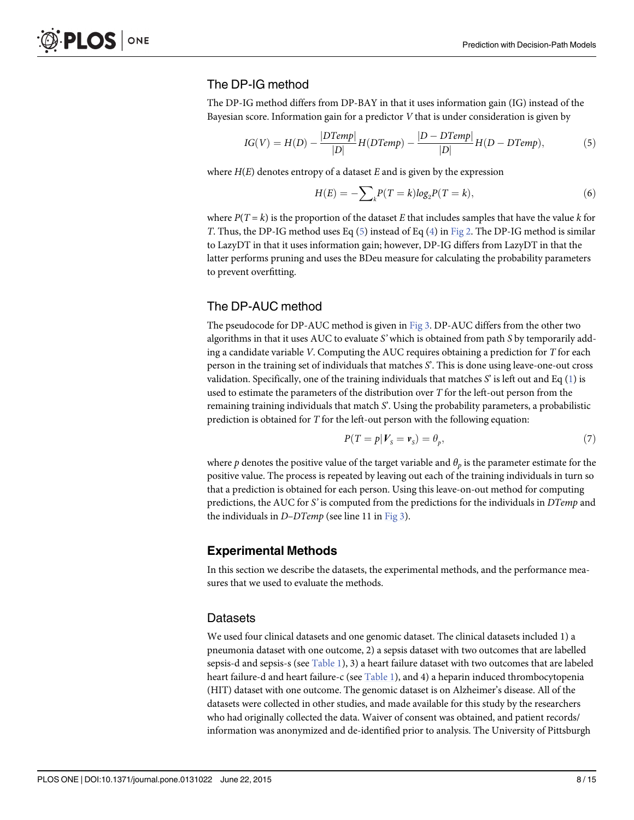# <span id="page-7-0"></span>The DP-IG method

The DP-IG method differs from DP-BAY in that it uses information gain (IG) instead of the Bayesian score. Information gain for a predictor V that is under consideration is given by

$$
IG(V) = H(D) - \frac{|DTemp|}{|D|} H(DTemp) - \frac{|D - DTemp|}{|D|} H(D - DTemp), \tag{5}
$$

where  $H(E)$  denotes entropy of a dataset E and is given by the expression

$$
H(E) = -\sum_{k} P(T = k) \log_2 P(T = k), \tag{6}
$$

where  $P(T = k)$  is the proportion of the dataset E that includes samples that have the value k for T. Thus, the DP-IG method uses Eq (5) instead of Eq ([4\)](#page-6-0) in [Fig 2.](#page-5-0) The DP-IG method is similar to LazyDT in that it uses information gain; however, DP-IG differs from LazyDT in that the latter performs pruning and uses the BDeu measure for calculating the probability parameters to prevent overfitting.

# The DP-AUC method

The pseudocode for DP-AUC method is given in [Fig 3.](#page-8-0) DP-AUC differs from the other two algorithms in that it uses AUC to evaluate S' which is obtained from path S by temporarily adding a candidate variable  $V$ . Computing the AUC requires obtaining a prediction for  $T$  for each person in the training set of individuals that matches S'. This is done using leave-one-out cross validation. Specifically, one of the training individuals that matches S' is left out and Eq  $(1)$  is used to estimate the parameters of the distribution over  $T$  for the left-out person from the remaining training individuals that match  $S'$ . Using the probability parameters, a probabilistic prediction is obtained for T for the left-out person with the following equation:

$$
P(T = p | V_s = v_s) = \theta_p, \tag{7}
$$

where p denotes the positive value of the target variable and  $\theta_p$  is the parameter estimate for the positive value. The process is repeated by leaving out each of the training individuals in turn so that a prediction is obtained for each person. Using this leave-on-out method for computing predictions, the AUC for S' is computed from the predictions for the individuals in DTemp and the individuals in  $D$ – $DTemp$  (see line 11 in [Fig 3\)](#page-8-0).

# Experimental Methods

In this section we describe the datasets, the experimental methods, and the performance measures that we used to evaluate the methods.

#### **Datasets**

We used four clinical datasets and one genomic dataset. The clinical datasets included 1) a pneumonia dataset with one outcome, 2) a sepsis dataset with two outcomes that are labelled sepsis-d and sepsis-s (see [Table 1](#page-4-0)), 3) a heart failure dataset with two outcomes that are labeled heart failure-d and heart failure-c (see [Table 1](#page-4-0)), and 4) a heparin induced thrombocytopenia (HIT) dataset with one outcome. The genomic dataset is on Alzheimer's disease. All of the datasets were collected in other studies, and made available for this study by the researchers who had originally collected the data. Waiver of consent was obtained, and patient records/ information was anonymized and de-identified prior to analysis. The University of Pittsburgh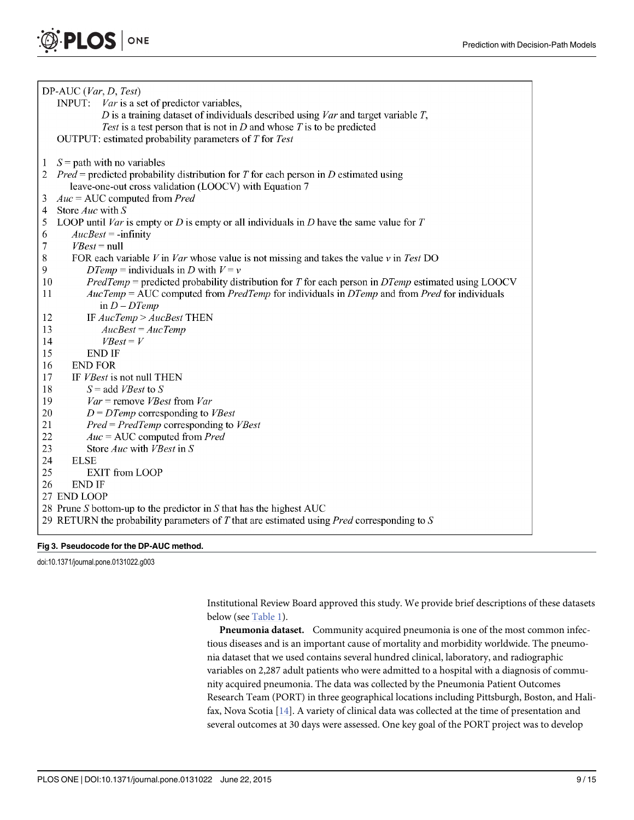<span id="page-8-0"></span>

| INPUT:<br>Var is a set of predictor variables,<br>$D$ is a training dataset of individuals described using $Var$ and target variable $T$ ,<br>Test is a test person that is not in $D$ and whose $T$ is to be predicted<br>OUTPUT: estimated probability parameters of $T$ for Test<br>$S =$ path with no variables<br>1<br>$Pred$ = predicted probability distribution for T for each person in D estimated using<br>2<br>leave-one-out cross validation (LOOCV) with Equation 7<br>$Auc = AUC$ computed from <i>Pred</i><br>3<br>Store Auc with S<br>4<br>LOOP until <i>Var</i> is empty or <i>D</i> is empty or all individuals in <i>D</i> have the same value for <i>T</i><br>5<br>$AucBest = -infinity$<br>6<br>$VBest = null$<br>7<br>8<br>FOR each variable V in Var whose value is not missing and takes the value v in Test DO<br>$DTemp =$ individuals in D with $V = v$<br>9<br>$PredTemp$ = predicted probability distribution for T for each person in DTemp estimated using LOOCV<br>10<br>$AuCTemp = AUC$ computed from <i>PredTemp</i> for individuals in <i>DTemp</i> and from <i>Pred</i> for individuals<br>11<br>in $D$ – $DTemp$<br>IF $AucTemp > AucBest THEN$<br>12<br>13<br>$AucBest = AucTemp$<br>$V$ <i>Rest</i> = $V$<br>14<br>15<br><b>END IF</b><br>16<br><b>END FOR</b><br>17<br>IF VBest is not null THEN<br>18<br>$S =$ add <i>VBest</i> to S<br>19<br>$Var$ = remove <i>VBest</i> from <i>Var</i><br>20<br>$D = DTemp$ corresponding to <i>VBest</i><br>$Pred = PredTemp$ corresponding to $VBest$<br>21<br>22<br>$Auc = AUC$ computed from <i>Pred</i><br>23<br>Store Auc with VBest in S<br>24<br><b>ELSE</b><br>25<br>EXIT from LOOP<br>26<br><b>END IF</b><br>27 END LOOP<br>28 Prune $S$ bottom-up to the predictor in $S$ that has the highest AUC<br>29 RETURN the probability parameters of T that are estimated using <i>Pred</i> corresponding to S | DP-AUC (Var, D, Test) |  |
|-------------------------------------------------------------------------------------------------------------------------------------------------------------------------------------------------------------------------------------------------------------------------------------------------------------------------------------------------------------------------------------------------------------------------------------------------------------------------------------------------------------------------------------------------------------------------------------------------------------------------------------------------------------------------------------------------------------------------------------------------------------------------------------------------------------------------------------------------------------------------------------------------------------------------------------------------------------------------------------------------------------------------------------------------------------------------------------------------------------------------------------------------------------------------------------------------------------------------------------------------------------------------------------------------------------------------------------------------------------------------------------------------------------------------------------------------------------------------------------------------------------------------------------------------------------------------------------------------------------------------------------------------------------------------------------------------------------------------------------------------------------------------------------------------------------------------------------------------------------------------------------------------|-----------------------|--|
|                                                                                                                                                                                                                                                                                                                                                                                                                                                                                                                                                                                                                                                                                                                                                                                                                                                                                                                                                                                                                                                                                                                                                                                                                                                                                                                                                                                                                                                                                                                                                                                                                                                                                                                                                                                                                                                                                                 |                       |  |
|                                                                                                                                                                                                                                                                                                                                                                                                                                                                                                                                                                                                                                                                                                                                                                                                                                                                                                                                                                                                                                                                                                                                                                                                                                                                                                                                                                                                                                                                                                                                                                                                                                                                                                                                                                                                                                                                                                 |                       |  |
|                                                                                                                                                                                                                                                                                                                                                                                                                                                                                                                                                                                                                                                                                                                                                                                                                                                                                                                                                                                                                                                                                                                                                                                                                                                                                                                                                                                                                                                                                                                                                                                                                                                                                                                                                                                                                                                                                                 |                       |  |
|                                                                                                                                                                                                                                                                                                                                                                                                                                                                                                                                                                                                                                                                                                                                                                                                                                                                                                                                                                                                                                                                                                                                                                                                                                                                                                                                                                                                                                                                                                                                                                                                                                                                                                                                                                                                                                                                                                 |                       |  |
|                                                                                                                                                                                                                                                                                                                                                                                                                                                                                                                                                                                                                                                                                                                                                                                                                                                                                                                                                                                                                                                                                                                                                                                                                                                                                                                                                                                                                                                                                                                                                                                                                                                                                                                                                                                                                                                                                                 |                       |  |
|                                                                                                                                                                                                                                                                                                                                                                                                                                                                                                                                                                                                                                                                                                                                                                                                                                                                                                                                                                                                                                                                                                                                                                                                                                                                                                                                                                                                                                                                                                                                                                                                                                                                                                                                                                                                                                                                                                 |                       |  |
|                                                                                                                                                                                                                                                                                                                                                                                                                                                                                                                                                                                                                                                                                                                                                                                                                                                                                                                                                                                                                                                                                                                                                                                                                                                                                                                                                                                                                                                                                                                                                                                                                                                                                                                                                                                                                                                                                                 |                       |  |
|                                                                                                                                                                                                                                                                                                                                                                                                                                                                                                                                                                                                                                                                                                                                                                                                                                                                                                                                                                                                                                                                                                                                                                                                                                                                                                                                                                                                                                                                                                                                                                                                                                                                                                                                                                                                                                                                                                 |                       |  |
|                                                                                                                                                                                                                                                                                                                                                                                                                                                                                                                                                                                                                                                                                                                                                                                                                                                                                                                                                                                                                                                                                                                                                                                                                                                                                                                                                                                                                                                                                                                                                                                                                                                                                                                                                                                                                                                                                                 |                       |  |
|                                                                                                                                                                                                                                                                                                                                                                                                                                                                                                                                                                                                                                                                                                                                                                                                                                                                                                                                                                                                                                                                                                                                                                                                                                                                                                                                                                                                                                                                                                                                                                                                                                                                                                                                                                                                                                                                                                 |                       |  |
|                                                                                                                                                                                                                                                                                                                                                                                                                                                                                                                                                                                                                                                                                                                                                                                                                                                                                                                                                                                                                                                                                                                                                                                                                                                                                                                                                                                                                                                                                                                                                                                                                                                                                                                                                                                                                                                                                                 |                       |  |
|                                                                                                                                                                                                                                                                                                                                                                                                                                                                                                                                                                                                                                                                                                                                                                                                                                                                                                                                                                                                                                                                                                                                                                                                                                                                                                                                                                                                                                                                                                                                                                                                                                                                                                                                                                                                                                                                                                 |                       |  |
|                                                                                                                                                                                                                                                                                                                                                                                                                                                                                                                                                                                                                                                                                                                                                                                                                                                                                                                                                                                                                                                                                                                                                                                                                                                                                                                                                                                                                                                                                                                                                                                                                                                                                                                                                                                                                                                                                                 |                       |  |
|                                                                                                                                                                                                                                                                                                                                                                                                                                                                                                                                                                                                                                                                                                                                                                                                                                                                                                                                                                                                                                                                                                                                                                                                                                                                                                                                                                                                                                                                                                                                                                                                                                                                                                                                                                                                                                                                                                 |                       |  |
|                                                                                                                                                                                                                                                                                                                                                                                                                                                                                                                                                                                                                                                                                                                                                                                                                                                                                                                                                                                                                                                                                                                                                                                                                                                                                                                                                                                                                                                                                                                                                                                                                                                                                                                                                                                                                                                                                                 |                       |  |
|                                                                                                                                                                                                                                                                                                                                                                                                                                                                                                                                                                                                                                                                                                                                                                                                                                                                                                                                                                                                                                                                                                                                                                                                                                                                                                                                                                                                                                                                                                                                                                                                                                                                                                                                                                                                                                                                                                 |                       |  |
|                                                                                                                                                                                                                                                                                                                                                                                                                                                                                                                                                                                                                                                                                                                                                                                                                                                                                                                                                                                                                                                                                                                                                                                                                                                                                                                                                                                                                                                                                                                                                                                                                                                                                                                                                                                                                                                                                                 |                       |  |
|                                                                                                                                                                                                                                                                                                                                                                                                                                                                                                                                                                                                                                                                                                                                                                                                                                                                                                                                                                                                                                                                                                                                                                                                                                                                                                                                                                                                                                                                                                                                                                                                                                                                                                                                                                                                                                                                                                 |                       |  |
|                                                                                                                                                                                                                                                                                                                                                                                                                                                                                                                                                                                                                                                                                                                                                                                                                                                                                                                                                                                                                                                                                                                                                                                                                                                                                                                                                                                                                                                                                                                                                                                                                                                                                                                                                                                                                                                                                                 |                       |  |
|                                                                                                                                                                                                                                                                                                                                                                                                                                                                                                                                                                                                                                                                                                                                                                                                                                                                                                                                                                                                                                                                                                                                                                                                                                                                                                                                                                                                                                                                                                                                                                                                                                                                                                                                                                                                                                                                                                 |                       |  |
|                                                                                                                                                                                                                                                                                                                                                                                                                                                                                                                                                                                                                                                                                                                                                                                                                                                                                                                                                                                                                                                                                                                                                                                                                                                                                                                                                                                                                                                                                                                                                                                                                                                                                                                                                                                                                                                                                                 |                       |  |
|                                                                                                                                                                                                                                                                                                                                                                                                                                                                                                                                                                                                                                                                                                                                                                                                                                                                                                                                                                                                                                                                                                                                                                                                                                                                                                                                                                                                                                                                                                                                                                                                                                                                                                                                                                                                                                                                                                 |                       |  |
|                                                                                                                                                                                                                                                                                                                                                                                                                                                                                                                                                                                                                                                                                                                                                                                                                                                                                                                                                                                                                                                                                                                                                                                                                                                                                                                                                                                                                                                                                                                                                                                                                                                                                                                                                                                                                                                                                                 |                       |  |
|                                                                                                                                                                                                                                                                                                                                                                                                                                                                                                                                                                                                                                                                                                                                                                                                                                                                                                                                                                                                                                                                                                                                                                                                                                                                                                                                                                                                                                                                                                                                                                                                                                                                                                                                                                                                                                                                                                 |                       |  |
|                                                                                                                                                                                                                                                                                                                                                                                                                                                                                                                                                                                                                                                                                                                                                                                                                                                                                                                                                                                                                                                                                                                                                                                                                                                                                                                                                                                                                                                                                                                                                                                                                                                                                                                                                                                                                                                                                                 |                       |  |
|                                                                                                                                                                                                                                                                                                                                                                                                                                                                                                                                                                                                                                                                                                                                                                                                                                                                                                                                                                                                                                                                                                                                                                                                                                                                                                                                                                                                                                                                                                                                                                                                                                                                                                                                                                                                                                                                                                 |                       |  |
|                                                                                                                                                                                                                                                                                                                                                                                                                                                                                                                                                                                                                                                                                                                                                                                                                                                                                                                                                                                                                                                                                                                                                                                                                                                                                                                                                                                                                                                                                                                                                                                                                                                                                                                                                                                                                                                                                                 |                       |  |
|                                                                                                                                                                                                                                                                                                                                                                                                                                                                                                                                                                                                                                                                                                                                                                                                                                                                                                                                                                                                                                                                                                                                                                                                                                                                                                                                                                                                                                                                                                                                                                                                                                                                                                                                                                                                                                                                                                 |                       |  |
|                                                                                                                                                                                                                                                                                                                                                                                                                                                                                                                                                                                                                                                                                                                                                                                                                                                                                                                                                                                                                                                                                                                                                                                                                                                                                                                                                                                                                                                                                                                                                                                                                                                                                                                                                                                                                                                                                                 |                       |  |
|                                                                                                                                                                                                                                                                                                                                                                                                                                                                                                                                                                                                                                                                                                                                                                                                                                                                                                                                                                                                                                                                                                                                                                                                                                                                                                                                                                                                                                                                                                                                                                                                                                                                                                                                                                                                                                                                                                 |                       |  |
|                                                                                                                                                                                                                                                                                                                                                                                                                                                                                                                                                                                                                                                                                                                                                                                                                                                                                                                                                                                                                                                                                                                                                                                                                                                                                                                                                                                                                                                                                                                                                                                                                                                                                                                                                                                                                                                                                                 |                       |  |
|                                                                                                                                                                                                                                                                                                                                                                                                                                                                                                                                                                                                                                                                                                                                                                                                                                                                                                                                                                                                                                                                                                                                                                                                                                                                                                                                                                                                                                                                                                                                                                                                                                                                                                                                                                                                                                                                                                 |                       |  |
|                                                                                                                                                                                                                                                                                                                                                                                                                                                                                                                                                                                                                                                                                                                                                                                                                                                                                                                                                                                                                                                                                                                                                                                                                                                                                                                                                                                                                                                                                                                                                                                                                                                                                                                                                                                                                                                                                                 |                       |  |
|                                                                                                                                                                                                                                                                                                                                                                                                                                                                                                                                                                                                                                                                                                                                                                                                                                                                                                                                                                                                                                                                                                                                                                                                                                                                                                                                                                                                                                                                                                                                                                                                                                                                                                                                                                                                                                                                                                 |                       |  |
|                                                                                                                                                                                                                                                                                                                                                                                                                                                                                                                                                                                                                                                                                                                                                                                                                                                                                                                                                                                                                                                                                                                                                                                                                                                                                                                                                                                                                                                                                                                                                                                                                                                                                                                                                                                                                                                                                                 |                       |  |

#### [Fig 3. P](#page-7-0)seudocode for the DP-AUC method.

doi:10.1371/journal.pone.0131022.g003

Institutional Review Board approved this study. We provide brief descriptions of these datasets below (see [Table 1\)](#page-4-0).

Pneumonia dataset. Community acquired pneumonia is one of the most common infectious diseases and is an important cause of mortality and morbidity worldwide. The pneumonia dataset that we used contains several hundred clinical, laboratory, and radiographic variables on 2,287 adult patients who were admitted to a hospital with a diagnosis of community acquired pneumonia. The data was collected by the Pneumonia Patient Outcomes Research Team (PORT) in three geographical locations including Pittsburgh, Boston, and Halifax, Nova Scotia [\[14](#page-14-0)]. A variety of clinical data was collected at the time of presentation and several outcomes at 30 days were assessed. One key goal of the PORT project was to develop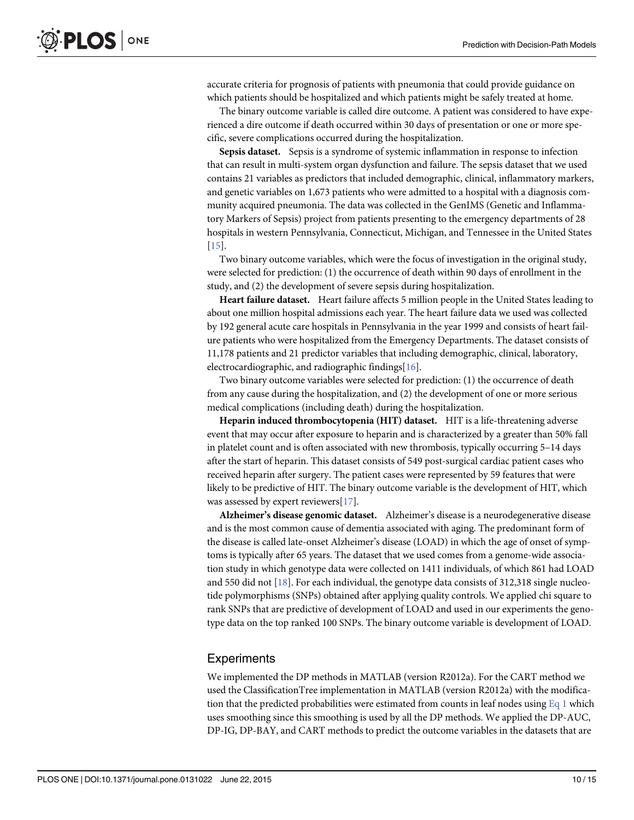<span id="page-9-0"></span>accurate criteria for prognosis of patients with pneumonia that could provide guidance on which patients should be hospitalized and which patients might be safely treated at home.

The binary outcome variable is called dire outcome. A patient was considered to have experienced a dire outcome if death occurred within 30 days of presentation or one or more specific, severe complications occurred during the hospitalization.

Sepsis dataset. Sepsis is a syndrome of systemic inflammation in response to infection that can result in multi-system organ dysfunction and failure. The sepsis dataset that we used contains 21 variables as predictors that included demographic, clinical, inflammatory markers, and genetic variables on 1,673 patients who were admitted to a hospital with a diagnosis community acquired pneumonia. The data was collected in the GenIMS (Genetic and Inflammatory Markers of Sepsis) project from patients presenting to the emergency departments of 28 hospitals in western Pennsylvania, Connecticut, Michigan, and Tennessee in the United States [\[15](#page-14-0)].

Two binary outcome variables, which were the focus of investigation in the original study, were selected for prediction: (1) the occurrence of death within 90 days of enrollment in the study, and (2) the development of severe sepsis during hospitalization.

Heart failure dataset. Heart failure affects 5 million people in the United States leading to about one million hospital admissions each year. The heart failure data we used was collected by 192 general acute care hospitals in Pennsylvania in the year 1999 and consists of heart failure patients who were hospitalized from the Emergency Departments. The dataset consists of 11,178 patients and 21 predictor variables that including demographic, clinical, laboratory, electrocardiographic, and radiographic findings[[16\]](#page-14-0).

Two binary outcome variables were selected for prediction: (1) the occurrence of death from any cause during the hospitalization, and (2) the development of one or more serious medical complications (including death) during the hospitalization.

Heparin induced thrombocytopenia (HIT) dataset. HIT is a life-threatening adverse event that may occur after exposure to heparin and is characterized by a greater than 50% fall in platelet count and is often associated with new thrombosis, typically occurring 5–14 days after the start of heparin. This dataset consists of 549 post-surgical cardiac patient cases who received heparin after surgery. The patient cases were represented by 59 features that were likely to be predictive of HIT. The binary outcome variable is the development of HIT, which was assessed by expert reviewers $[17]$  $[17]$  $[17]$ .

Alzheimer's disease genomic dataset. Alzheimer's disease is a neurodegenerative disease and is the most common cause of dementia associated with aging. The predominant form of the disease is called late-onset Alzheimer's disease (LOAD) in which the age of onset of symptoms is typically after 65 years. The dataset that we used comes from a genome-wide association study in which genotype data were collected on 1411 individuals, of which 861 had LOAD and 550 did not [\[18\]](#page-14-0). For each individual, the genotype data consists of 312,318 single nucleotide polymorphisms (SNPs) obtained after applying quality controls. We applied chi square to rank SNPs that are predictive of development of LOAD and used in our experiments the genotype data on the top ranked 100 SNPs. The binary outcome variable is development of LOAD.

#### **Experiments**

We implemented the DP methods in MATLAB (version R2012a). For the CART method we used the ClassificationTree implementation in MATLAB (version R2012a) with the modification that the predicted probabilities were estimated from counts in leaf nodes using  $Eq 1$  which uses smoothing since this smoothing is used by all the DP methods. We applied the DP-AUC, DP-IG, DP-BAY, and CART methods to predict the outcome variables in the datasets that are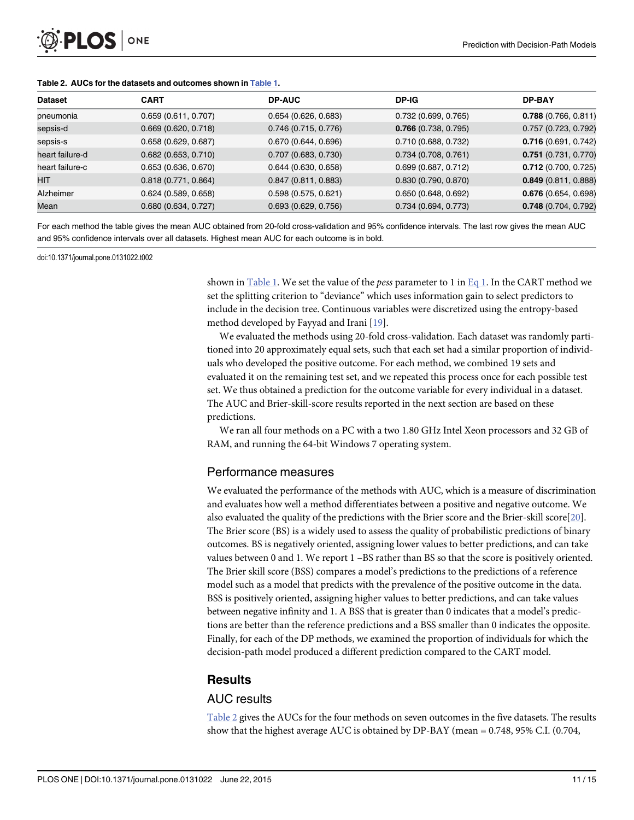#### <span id="page-10-0"></span>Table 2. AUCs for the datasets and outcomes shown in [Table 1](#page-4-0).

| <b>Dataset</b>  | <b>CART</b>         | <b>DP-AUC</b>          | <b>DP-IG</b>           | DP-BAY                 |
|-----------------|---------------------|------------------------|------------------------|------------------------|
| pneumonia       | 0.659(0.611, 0.707) | $0.654$ (0.626, 0.683) | 0.732(0.699, 0.765)    | 0.788(0.766, 0.811)    |
| sepsis-d        | 0.669(0.620, 0.718) | $0.746$ (0.715, 0.776) | $0.766$ (0.738, 0.795) | 0.757 (0.723, 0.792)   |
| sepsis-s        | 0.658(0.629, 0.687) | 0.670(0.644, 0.696)    | 0.710 (0.688, 0.732)   | 0.716(0.691, 0.742)    |
| heart failure-d | 0.682(0.653, 0.710) | 0.707(0.683, 0.730)    | 0.734(0.708, 0.761)    | $0.751$ (0.731, 0.770) |
| heart failure-c | 0.653(0.636, 0.670) | $0.644$ (0.630, 0.658) | 0.699(0.687, 0.712)    | $0.712$ (0.700, 0.725) |
| HIT             | 0.818(0.771, 0.864) | 0.847(0.811, 0.883)    | 0.830(0.790, 0.870)    | 0.849(0.811, 0.888)    |
| Alzheimer       | 0.624(0.589, 0.658) | 0.598(0.575, 0.621)    | 0.650(0.648, 0.692)    | 0.676(0.654, 0.698)    |
| Mean            | 0.680(0.634, 0.727) | 0.693(0.629, 0.756)    | 0.734(0.694, 0.773)    | $0.748$ (0.704, 0.792) |

For each method the table gives the mean AUC obtained from 20-fold cross-validation and 95% confidence intervals. The last row gives the mean AUC and 95% confidence intervals over all datasets. Highest mean AUC for each outcome is in bold.

doi:10.1371/journal.pone.0131022.t002

shown in [Table 1.](#page-4-0) We set the value of the pess parameter to 1 in  $Eq$  1. In the CART method we set the splitting criterion to "deviance" which uses information gain to select predictors to include in the decision tree. Continuous variables were discretized using the entropy-based method developed by Fayyad and Irani [\[19\]](#page-14-0).

We evaluated the methods using 20-fold cross-validation. Each dataset was randomly partitioned into 20 approximately equal sets, such that each set had a similar proportion of individuals who developed the positive outcome. For each method, we combined 19 sets and evaluated it on the remaining test set, and we repeated this process once for each possible test set. We thus obtained a prediction for the outcome variable for every individual in a dataset. The AUC and Brier-skill-score results reported in the next section are based on these predictions.

We ran all four methods on a PC with a two 1.80 GHz Intel Xeon processors and 32 GB of RAM, and running the 64-bit Windows 7 operating system.

# Performance measures

We evaluated the performance of the methods with AUC, which is a measure of discrimination and evaluates how well a method differentiates between a positive and negative outcome. We also evaluated the quality of the predictions with the Brier score and the Brier-skill score[\[20\]](#page-14-0). The Brier score (BS) is a widely used to assess the quality of probabilistic predictions of binary outcomes. BS is negatively oriented, assigning lower values to better predictions, and can take values between 0 and 1. We report 1 –BS rather than BS so that the score is positively oriented. The Brier skill score (BSS) compares a model's predictions to the predictions of a reference model such as a model that predicts with the prevalence of the positive outcome in the data. BSS is positively oriented, assigning higher values to better predictions, and can take values between negative infinity and 1. A BSS that is greater than 0 indicates that a model's predictions are better than the reference predictions and a BSS smaller than 0 indicates the opposite. Finally, for each of the DP methods, we examined the proportion of individuals for which the decision-path model produced a different prediction compared to the CART model.

# **Results**

# AUC results

Table 2 gives the AUCs for the four methods on seven outcomes in the five datasets. The results show that the highest average AUC is obtained by DP-BAY (mean = 0.748, 95% C.I. (0.704,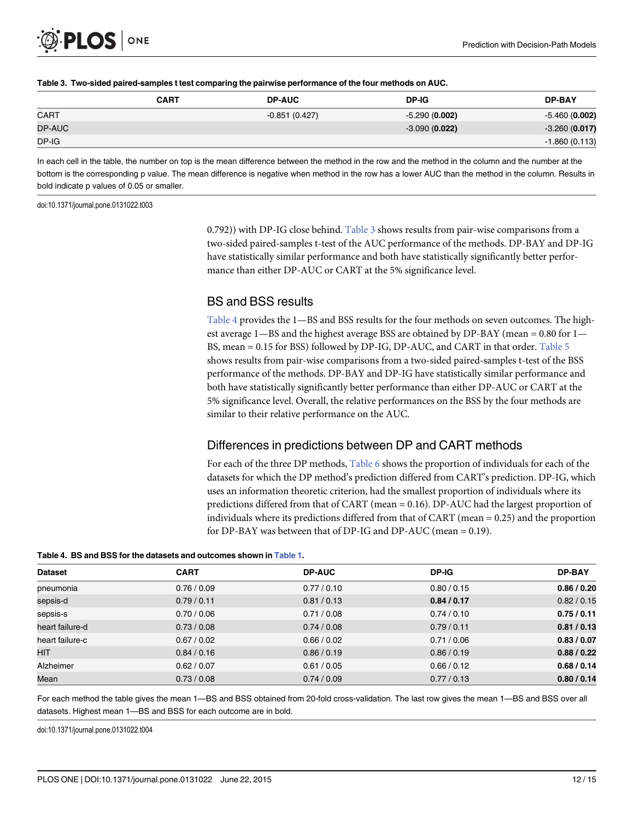#### Table 3. Two-sided paired-samples t test comparing the pairwise performance of the four methods on AUC.

|             | <b>CART</b> | <b>DP-AUC</b>   | <b>DP-IG</b>    | DP-BAY          |
|-------------|-------------|-----------------|-----------------|-----------------|
| <b>CART</b> |             | $-0.851(0.427)$ | $-5.290(0.002)$ | $-5.460(0.002)$ |
| DP-AUC      |             |                 | $-3.090(0.022)$ | $-3.260(0.017)$ |
| DP-IG       |             |                 |                 | $-1.860(0.113)$ |

In each cell in the table, the number on top is the mean difference between the method in the row and the method in the column and the number at the bottom is the corresponding p value. The mean difference is negative when method in the row has a lower AUC than the method in the column. Results in bold indicate p values of 0.05 or smaller.

doi:10.1371/journal.pone.0131022.t003

<span id="page-11-0"></span> $PLOS |$  ONE

0.792)) with DP-IG close behind. Table 3 shows results from pair-wise comparisons from a two-sided paired-samples t-test of the AUC performance of the methods. DP-BAY and DP-IG have statistically similar performance and both have statistically significantly better performance than either DP-AUC or CART at the 5% significance level.

# BS and BSS results

Table 4 provides the 1—BS and BSS results for the four methods on seven outcomes. The highest average  $1$ —BS and the highest average BSS are obtained by DP-BAY (mean = 0.80 for  $1$ — BS, mean = 0.15 for BSS) followed by DP-IG, DP-AUC, and CART in that order. [Table 5](#page-12-0) shows results from pair-wise comparisons from a two-sided paired-samples t-test of the BSS performance of the methods. DP-BAY and DP-IG have statistically similar performance and both have statistically significantly better performance than either DP-AUC or CART at the 5% significance level. Overall, the relative performances on the BSS by the four methods are similar to their relative performance on the AUC.

#### Differences in predictions between DP and CART methods

For each of the three DP methods, [Table 6](#page-12-0) shows the proportion of individuals for each of the datasets for which the DP method's prediction differed from CART's prediction. DP-IG, which uses an information theoretic criterion, had the smallest proportion of individuals where its predictions differed from that of CART (mean = 0.16). DP-AUC had the largest proportion of individuals where its predictions differed from that of CART (mean = 0.25) and the proportion for DP-BAY was between that of DP-IG and DP-AUC (mean = 0.19).

#### Table 4. BS and BSS for the datasets and outcomes shown in [Table 1.](#page-4-0)

| <b>Dataset</b>  | <b>CART</b> | <b>DP-AUC</b> | DP-IG       | DP-BAY      |
|-----------------|-------------|---------------|-------------|-------------|
| pneumonia       | 0.76/0.09   | 0.77/0.10     | 0.80 / 0.15 | 0.86/0.20   |
| sepsis-d        | 0.79/0.11   | 0.81 / 0.13   | 0.84/0.17   | 0.82 / 0.15 |
| sepsis-s        | 0.70 / 0.06 | 0.71/0.08     | 0.74/0.10   | 0.75/0.11   |
| heart failure-d | 0.73/0.08   | 0.74/0.08     | 0.79/0.11   | 0.81 / 0.13 |
| heart failure-c | 0.67 / 0.02 | 0.66 / 0.02   | 0.71/0.06   | 0.83/0.07   |
| <b>HIT</b>      | 0.84/0.16   | 0.86/0.19     | 0.86/0.19   | 0.88 / 0.22 |
| Alzheimer       | 0.62 / 0.07 | 0.61 / 0.05   | 0.66 / 0.12 | 0.68 / 0.14 |
| Mean            | 0.73/0.08   | 0.74/0.09     | 0.77/0.13   | 0.80 / 0.14 |

For each method the table gives the mean 1—BS and BSS obtained from 20-fold cross-validation. The last row gives the mean 1—BS and BSS over all datasets. Highest mean 1—BS and BSS for each outcome are in bold.

doi:10.1371/journal.pone.0131022.t004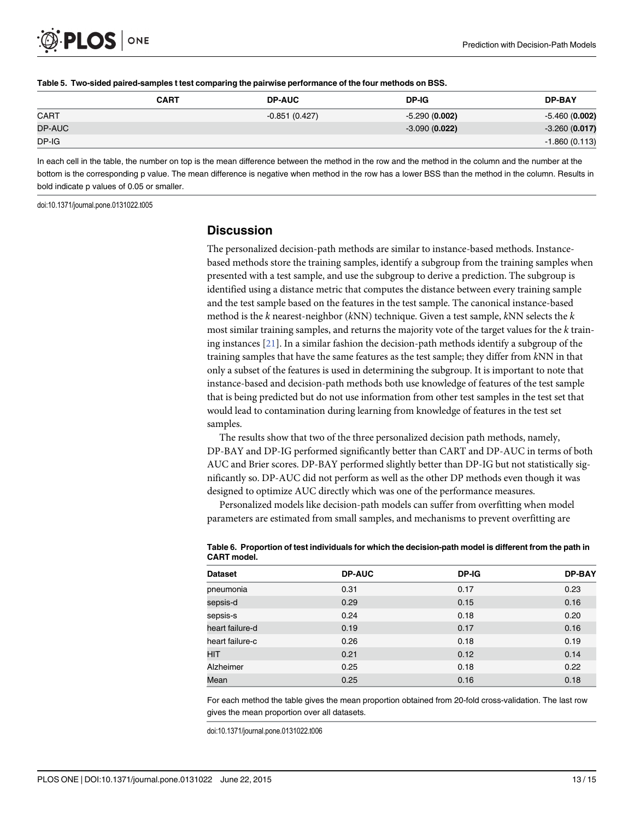#### [Table 5.](#page-11-0) Two-sided paired-samples t test comparing the pairwise performance of the four methods on BSS.

|        | <b>CART</b> | <b>DP-AUC</b>   | DP-IG           | <b>DP-BAY</b>   |
|--------|-------------|-----------------|-----------------|-----------------|
| CART   |             | $-0.851(0.427)$ | $-5.290(0.002)$ | $-5.460(0.002)$ |
| DP-AUC |             |                 | $-3.090(0.022)$ | $-3.260(0.017)$ |
| DP-IG  |             |                 |                 | $-1.860(0.113)$ |

In each cell in the table, the number on top is the mean difference between the method in the row and the method in the column and the number at the bottom is the corresponding p value. The mean difference is negative when method in the row has a lower BSS than the method in the column. Results in bold indicate p values of 0.05 or smaller.

doi:10.1371/journal.pone.0131022.t005

<span id="page-12-0"></span>**PLOS I** 

ONE

#### **Discussion**

The personalized decision-path methods are similar to instance-based methods. Instancebased methods store the training samples, identify a subgroup from the training samples when presented with a test sample, and use the subgroup to derive a prediction. The subgroup is identified using a distance metric that computes the distance between every training sample and the test sample based on the features in the test sample. The canonical instance-based method is the k nearest-neighbor (kNN) technique. Given a test sample, kNN selects the  $k$ most similar training samples, and returns the majority vote of the target values for the k training instances [[21\]](#page-14-0). In a similar fashion the decision-path methods identify a subgroup of the training samples that have the same features as the test sample; they differ from kNN in that only a subset of the features is used in determining the subgroup. It is important to note that instance-based and decision-path methods both use knowledge of features of the test sample that is being predicted but do not use information from other test samples in the test set that would lead to contamination during learning from knowledge of features in the test set samples.

The results show that two of the three personalized decision path methods, namely, DP-BAY and DP-IG performed significantly better than CART and DP-AUC in terms of both AUC and Brier scores. DP-BAY performed slightly better than DP-IG but not statistically significantly so. DP-AUC did not perform as well as the other DP methods even though it was designed to optimize AUC directly which was one of the performance measures.

Personalized models like decision-path models can suffer from overfitting when model parameters are estimated from small samples, and mechanisms to prevent overfitting are

| <b>Dataset</b>  | <b>DP-AUC</b> | <b>DP-IG</b> | <b>DP-BAY</b> |
|-----------------|---------------|--------------|---------------|
| pneumonia       | 0.31          | 0.17         | 0.23          |
| sepsis-d        | 0.29          | 0.15         | 0.16          |
| sepsis-s        | 0.24          | 0.18         | 0.20          |
| heart failure-d | 0.19          | 0.17         | 0.16          |
| heart failure-c | 0.26          | 0.18         | 0.19          |
| <b>HIT</b>      | 0.21          | 0.12         | 0.14          |
| Alzheimer       | 0.25          | 0.18         | 0.22          |
| <b>Mean</b>     | 0.25          | 0.16         | 0.18          |

[Table 6.](#page-11-0) Proportion of test individuals for which the decision-path model is different from the path in CART model.

For each method the table gives the mean proportion obtained from 20-fold cross-validation. The last row gives the mean proportion over all datasets.

doi:10.1371/journal.pone.0131022.t006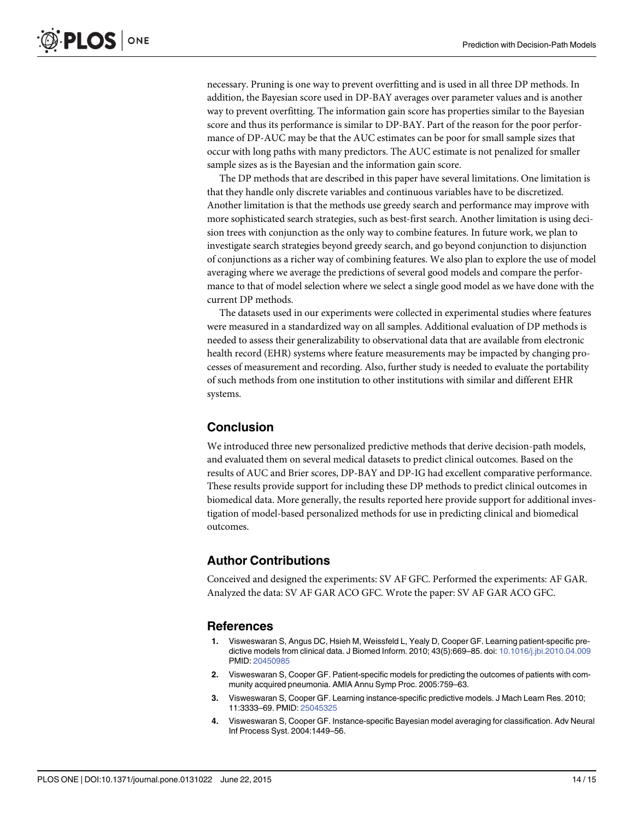<span id="page-13-0"></span>necessary. Pruning is one way to prevent overfitting and is used in all three DP methods. In addition, the Bayesian score used in DP-BAY averages over parameter values and is another way to prevent overfitting. The information gain score has properties similar to the Bayesian score and thus its performance is similar to DP-BAY. Part of the reason for the poor performance of DP-AUC may be that the AUC estimates can be poor for small sample sizes that occur with long paths with many predictors. The AUC estimate is not penalized for smaller sample sizes as is the Bayesian and the information gain score.

The DP methods that are described in this paper have several limitations. One limitation is that they handle only discrete variables and continuous variables have to be discretized. Another limitation is that the methods use greedy search and performance may improve with more sophisticated search strategies, such as best-first search. Another limitation is using decision trees with conjunction as the only way to combine features. In future work, we plan to investigate search strategies beyond greedy search, and go beyond conjunction to disjunction of conjunctions as a richer way of combining features. We also plan to explore the use of model averaging where we average the predictions of several good models and compare the performance to that of model selection where we select a single good model as we have done with the current DP methods.

The datasets used in our experiments were collected in experimental studies where features were measured in a standardized way on all samples. Additional evaluation of DP methods is needed to assess their generalizability to observational data that are available from electronic health record (EHR) systems where feature measurements may be impacted by changing processes of measurement and recording. Also, further study is needed to evaluate the portability of such methods from one institution to other institutions with similar and different EHR systems.

# **Conclusion**

We introduced three new personalized predictive methods that derive decision-path models, and evaluated them on several medical datasets to predict clinical outcomes. Based on the results of AUC and Brier scores, DP-BAY and DP-IG had excellent comparative performance. These results provide support for including these DP methods to predict clinical outcomes in biomedical data. More generally, the results reported here provide support for additional investigation of model-based personalized methods for use in predicting clinical and biomedical outcomes.

# Author Contributions

Conceived and designed the experiments: SV AF GFC. Performed the experiments: AF GAR. Analyzed the data: SV AF GAR ACO GFC. Wrote the paper: SV AF GAR ACO GFC.

# References

- [1.](#page-0-0) Visweswaran S, Angus DC, Hsieh M, Weissfeld L, Yealy D, Cooper GF. Learning patient-specific predictive models from clinical data. J Biomed Inform. 2010; 43(5):669–85. doi: [10.1016/j.jbi.2010.04.009](http://dx.doi.org/10.1016/j.jbi.2010.04.009) PMID: [20450985](http://www.ncbi.nlm.nih.gov/pubmed/20450985)
- 2. Visweswaran S, Cooper GF. Patient-specific models for predicting the outcomes of patients with community acquired pneumonia. AMIA Annu Symp Proc. 2005:759–63.
- 3. Visweswaran S, Cooper GF. Learning instance-specific predictive models. J Mach Learn Res. 2010; 11:3333–69. PMID: [25045325](http://www.ncbi.nlm.nih.gov/pubmed/25045325)
- [4.](#page-1-0) Visweswaran S, Cooper GF. Instance-specific Bayesian model averaging for classification. Adv Neural Inf Process Syst. 2004:1449–56.